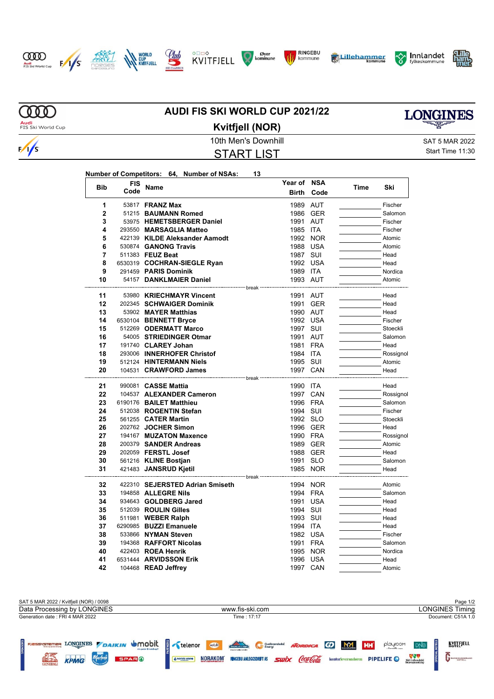









**Year of NSA**







**MD Audi**<br>FIS Ski World Cup

 $\sqrt{s}$ 

## **AUDI FIS SKI WORLD CUP 2021/22 Kvitfjell (NOR)**



10th Men's Downhill SAT 5 MAR 2022 START LIST

Start Time 11:30

|--|

| <b>Bib</b>   | FIS<br>Code | Name                                                      | Year of<br><b>Birth</b>          | <b>NSA</b><br>Code | Time | Ski             |
|--------------|-------------|-----------------------------------------------------------|----------------------------------|--------------------|------|-----------------|
| 1            |             | 53817 <b>FRANZ Max</b>                                    | 1989                             | <b>AUT</b>         |      | Fischer         |
| $\mathbf{2}$ |             | 51215 BAUMANN Romed                                       |                                  | 1986 GER           |      | Salomon         |
| 3            |             | 53975 HEMETSBERGER Daniel                                 | 1991 AUT                         |                    |      | Fischer         |
| 4            |             | 293550 MARSAGLIA Matteo                                   | 1985 ITA                         |                    |      | Fischer         |
| 5            |             | 422139 KILDE Aleksander Aamodt                            |                                  | 1992 NOR           |      | Atomic          |
| 6            |             | 530874 GANONG Travis                                      | 1988 USA                         |                    |      | Atomic          |
| 7            |             | 511383 FEUZ Beat                                          | 1987 SUI                         |                    |      | Head            |
| 8            |             | 6530319 COCHRAN-SIEGLE Ryan                               | 1992 USA                         |                    |      | Head            |
| 9            |             | 291459 PARIS Dominik                                      | 1989 ITA                         |                    |      | Nordica         |
| 10           |             | 54157 DANKLMAIER Daniel                                   | 1993 AUT                         |                    |      | Atomic          |
|              |             | ----------------- break                                   |                                  |                    |      |                 |
| 11           |             | 53980 KRIECHMAYR Vincent                                  | 1991 AUT                         |                    |      | Head            |
| 12           |             | 202345 SCHWAIGER Dominik                                  |                                  | 1991 GER           |      | Head            |
| 13<br>14     |             | 53902 MAYER Matthias                                      | 1990 AUT<br>1992 USA             |                    |      | Head<br>Fischer |
| 15           |             | 6530104 BENNETT Bryce<br>512269 ODERMATT Marco            | 1997 SUI                         |                    |      | Stoeckli        |
| 16           |             | 54005 STRIEDINGER Otmar                                   | 1991 AUT                         |                    |      | Salomon         |
| 17           |             | 191740 CLAREY Johan                                       | 1981 FRA                         |                    |      | Head            |
| 18           |             | 293006 INNERHOFER Christof                                | 1984 ITA                         |                    |      | Rossignol       |
| 19           |             | 512124 HINTERMANN Niels                                   | 1995 SUI                         |                    |      | Atomic          |
| 20           |             | 104531 CRAWFORD James                                     | 1997 CAN                         |                    |      | Head            |
|              |             |                                                           | <sup>--</sup> break <sup>-</sup> |                    |      |                 |
| 21           |             | 990081 <b>CASSE Mattia</b>                                | 1990 ITA                         |                    |      | Head            |
| 22           |             | 104537 ALEXANDER Cameron                                  |                                  | 1997 CAN           |      | Rossignol       |
| 23           |             | 6190176 BAILET Matthieu                                   | 1996 FRA                         |                    |      | Salomon         |
| 24           |             | 512038 ROGENTIN Stefan                                    | 1994 SUI                         |                    |      | Fischer         |
| 25           |             | 561255 CATER Martin                                       | 1992 SLO                         |                    |      | Stoeckli        |
| 26           |             | 202762 JOCHER Simon                                       |                                  | 1996 GER           |      | Head            |
| 27           |             | 194167 MUZATON Maxence                                    | 1990 FRA                         |                    |      | Rossignol       |
| 28           |             | 200379 SANDER Andreas                                     |                                  | 1989 GER           |      | Atomic          |
| 29           |             | 202059 FERSTL Josef                                       |                                  | 1988 GER           |      | Head            |
| 30           |             | 561216 KLINE Bostjan                                      | 1991 SLO                         |                    |      | Salomon         |
| 31           |             | 421483 JANSRUD Kjetil<br>-------------------------- break |                                  | 1985 NOR           |      | Head            |
| 32           |             | 422310 SEJERSTED Adrian Smiseth                           |                                  | 1994 NOR           |      | Atomic          |
| 33           |             | 194858 ALLEGRE Nils                                       | 1994 FRA                         |                    |      | Salomon         |
| 34           |             | 934643 GOLDBERG Jared                                     | 1991 USA                         |                    |      | Head            |
| 35           |             | 512039 ROULIN Gilles                                      | 1994 SUI                         |                    |      | Head            |
| 36           |             | 511981 <b>WEBER Ralph</b>                                 | 1993 SUI                         |                    |      | Head            |
| 37           |             | 6290985 BUZZI Emanuele                                    | 1994 ITA                         |                    |      | Head            |
| 38           |             | 533866 NYMAN Steven                                       |                                  | 1982 USA           |      | Fischer         |
| 39           |             | 194368 RAFFORT Nicolas                                    | 1991 FRA                         |                    |      | Salomon         |
| 40           |             | 422403 ROEA Henrik                                        |                                  | 1995 NOR           |      | Nordica         |
| 41           |             | 6531444 ARVIDSSON Erik                                    | 1996 USA                         |                    |      | Head            |
| 42           |             | 104468 READ Jeffrey                                       | 1997 CAN                         |                    |      | Atomic          |

| SAT 5 MAR 2022 / Kvitfiell (NOR) / 0098                                                    |                                                                                                                                                                     | Page 1/2                                                                                                                             |  |  |  |
|--------------------------------------------------------------------------------------------|---------------------------------------------------------------------------------------------------------------------------------------------------------------------|--------------------------------------------------------------------------------------------------------------------------------------|--|--|--|
| Data Processing by LONGINES                                                                | www.fis-ski.com                                                                                                                                                     | LONGINES Timina                                                                                                                      |  |  |  |
| Generation date: FRI 4 MAR 2022                                                            | Time : 17:17                                                                                                                                                        | Document: C51A 1.0                                                                                                                   |  |  |  |
| LONGINES DAIKIN UMObit<br>FJØSSYSTEMER<br>KPMG<br><b>SPARO</b><br>BLOOD<br><b>GENERALI</b> | Thos Hy TTER<br>wyLift<br>NORDICA (F)<br>Gudbrandsdal<br>swix Coca Cola<br><b>NORAKOM</b><br><b>RINGEBU ANLEGGSDRIFT AS</b><br>& norbic crane<br>kontorleverandøren | KVITEJELL<br>M<br><b>HH</b><br>playroom<br><b>DNB</b><br>Midt-Gudbrandsdal<br>Renovasionsselskap<br><b>PIPELIFE</b><br>GUDBRANDSGARD |  |  |  |